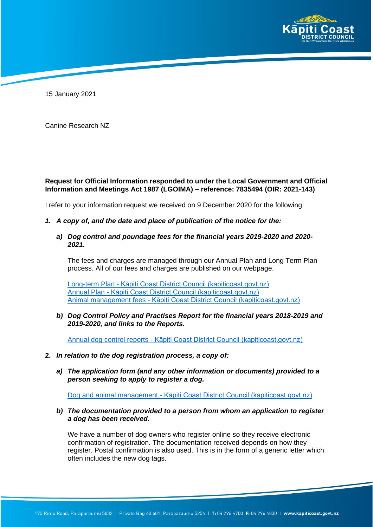

15 January 2021

Canine Research NZ

## **Request for Official Information responded to under the Local Government and Official Information and Meetings Act 1987 (LGOIMA) – reference: 7835494 (OIR: 2021-143)**

I refer to your information request we received on 9 December 2020 for the following:

- *1. A copy of, and the date and place of publication of the notice for the:*
	- *a) Dog control and poundage fees for the financial years 2019-2020 and 2020- 2021.*

The fees and charges are managed through our Annual Plan and Long Term Plan process. All of our fees and charges are published on our webpage.

Long-term Plan - Kāpiti Coast District Council (kapiticoast.govt.nz) Annual Plan - Kāpiti Coast District Council (kapiticoast.govt.nz) Animal management fees - Kāpiti Coast District Council (kapiticoast.govt.nz)

*b) Dog Control Policy and Practises Report for the financial years 2018-2019 and 2019-2020, and links to the Reports.*

Annual dog control reports - Kāpiti Coast District Council (kapiticoast.govt.nz)

- **2.** *In relation to the dog registration process, a copy of:*
	- *a) The application form (and any other information or documents) provided to a person seeking to apply to register a dog.*

Dog and animal management - Kāpiti Coast District Council (kapiticoast.govt.nz)

*b) The documentation provided to a person from whom an application to register a dog has been received.*

We have a number of dog owners who register online so they receive electronic confirmation of registration. The documentation received depends on how they register. Postal confirmation is also used. This is in the form of a generic letter which often includes the new dog tags.